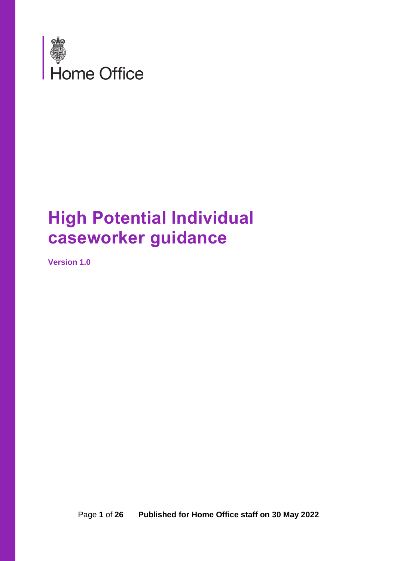

## **High Potential Individual caseworker guidance**

**Version 1.0** 

Page **1** of **26 Published for Home Office staff on 30 May 2022**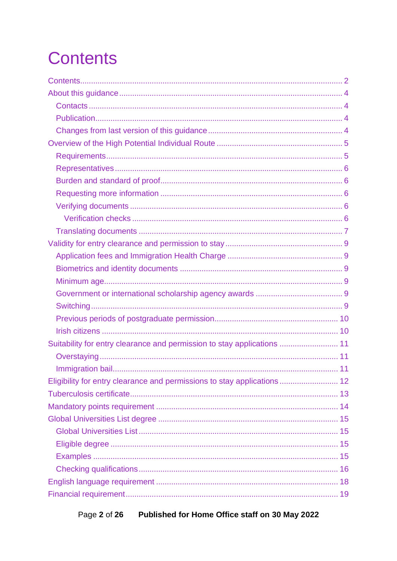# <span id="page-1-0"></span>**Contents**

| Suitability for entry clearance and permission to stay applications  11 |
|-------------------------------------------------------------------------|
|                                                                         |
|                                                                         |
| Eligibility for entry clearance and permissions to stay applications 12 |
|                                                                         |
|                                                                         |
|                                                                         |
|                                                                         |
|                                                                         |
|                                                                         |
|                                                                         |
|                                                                         |
|                                                                         |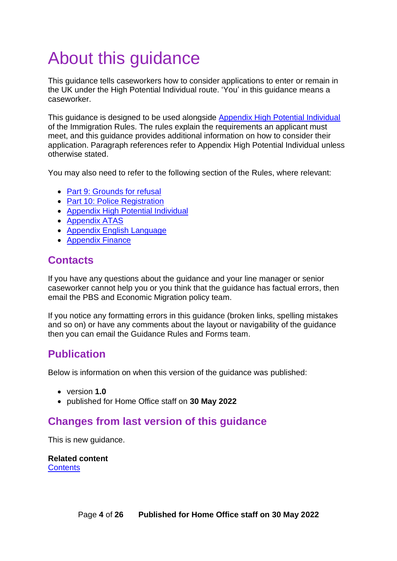# <span id="page-3-0"></span>About this guidance

This guidance tells caseworkers how to consider applications to enter or remain in the UK under the High Potential Individual route. 'You' in this guidance means a caseworker.

This guidance is designed to be used alongside [Appendix High Potential Individual](https://www.gov.uk/guidance/immigration-rules/immigration-rules-appendix-high-potential-individual) of the Immigration Rules. The rules explain the requirements an applicant must meet, and this guidance provides additional information on how to consider their application. Paragraph references refer to Appendix High Potential Individual unless otherwise stated.

You may also need to refer to the following section of the Rules, where relevant:

- [Part 9: Grounds for refusal](https://www.gov.uk/guidance/immigration-rules/immigration-rules-part-9-grounds-for-refusal)
- [Part 10: Police Registration](https://www.gov.uk/guidance/immigration-rules/immigration-rules-part-10-registering-with-the-police)
- [Appendix High Potential Individual](https://www.gov.uk/guidance/immigration-rules/immigration-rules-appendix-high-potential-individual)
- [Appendix ATAS](https://www.gov.uk/guidance/immigration-rules/immigration-rules-appendix-atas-academic-technology-approval-scheme-atas)
- [Appendix English Language](https://www.gov.uk/guidance/immigration-rules/immigration-rules-appendix-english-language)
- [Appendix Finance](https://www.gov.uk/guidance/immigration-rules/immigration-rules-appendix-finance)

## <span id="page-3-1"></span>**Contacts**

If you have any questions about the guidance and your line manager or senior caseworker cannot help you or you think that the guidance has factual errors, then email the PBS and Economic Migration policy team.

If you notice any formatting errors in this guidance (broken links, spelling mistakes and so on) or have any comments about the layout or navigability of the guidance then you can email the Guidance Rules and Forms team.

## <span id="page-3-2"></span>**Publication**

Below is information on when this version of the guidance was published:

- version **1.0**
- published for Home Office staff on **30 May 2022**

## <span id="page-3-3"></span>**Changes from last version of this guidance**

This is new guidance.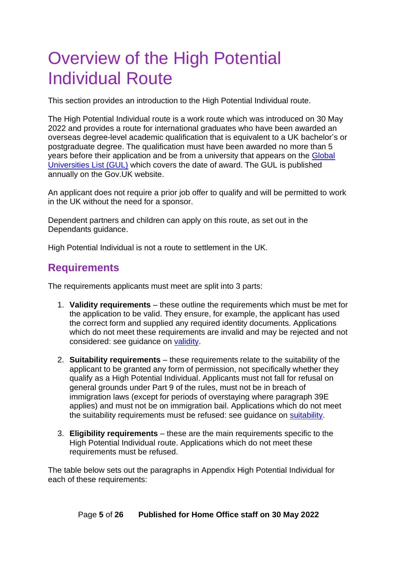## <span id="page-4-0"></span>Overview of the High Potential Individual Route

This section provides an introduction to the High Potential Individual route.

The High Potential Individual route is a work route which was introduced on 30 May 2022 and provides a route for international graduates who have been awarded an overseas degree-level academic qualification that is equivalent to a UK bachelor's or postgraduate degree. The qualification must have been awarded no more than 5 years before their application and be from a university that appears on the [Global](https://www.gov.uk/government/publications/high-potential-individual-visa-global-universities-list)  [Universities List \(GUL\)](https://www.gov.uk/government/publications/high-potential-individual-visa-global-universities-list) which covers the date of award. The GUL is published annually on the Gov.UK website.

An applicant does not require a prior job offer to qualify and will be permitted to work in the UK without the need for a sponsor.

Dependent partners and children can apply on this route, as set out in the Dependants guidance.

High Potential Individual is not a route to settlement in the UK.

## <span id="page-4-1"></span>**Requirements**

The requirements applicants must meet are split into 3 parts:

- 1. **Validity requirements** these outline the requirements which must be met for the application to be valid. They ensure, for example, the applicant has used the correct form and supplied any required identity documents. Applications which do not meet these requirements are invalid and may be rejected and not considered: see guidance on [validity.](#page-8-0)
- 2. **Suitability requirements** these requirements relate to the suitability of the applicant to be granted any form of permission, not specifically whether they qualify as a High Potential Individual. Applicants must not fall for refusal on general grounds under Part 9 of the rules, must not be in breach of immigration laws (except for periods of overstaying where paragraph 39E applies) and must not be on immigration bail. Applications which do not meet the suitability requirements must be refused: see guidance on [suitability.](#page-9-2)
- 3. **Eligibility requirements** these are the main requirements specific to the High Potential Individual route. Applications which do not meet these requirements must be refused.

The table below sets out the paragraphs in Appendix High Potential Individual for each of these requirements: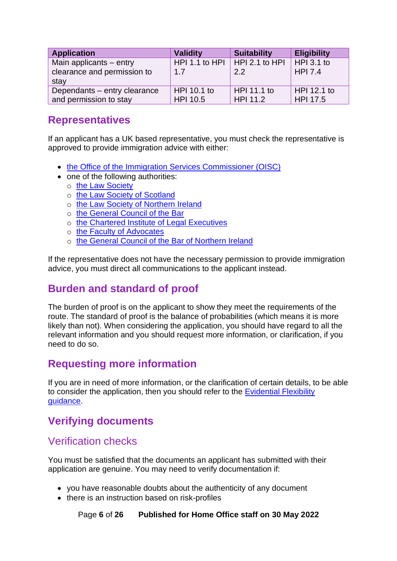| <b>Application</b>           | <b>Validity</b>                      | <b>Suitability</b> | <b>Eligibility</b> |
|------------------------------|--------------------------------------|--------------------|--------------------|
| Main applicants - entry      | HPI 1.1 to HPI $\mid$ HPI 2.1 to HPI |                    | $HPI$ 3.1 to       |
| clearance and permission to  | 1.7                                  | $2.2^{\circ}$      | <b>HPI 7.4</b>     |
| stay                         |                                      |                    |                    |
| Dependants - entry clearance | <b>HPI 10.1 to</b>                   | HPI 11.1 to        | HPI 12.1 to        |
| and permission to stay       | <b>HPI 10.5</b>                      | HPI 11.2           | HPI 17.5           |

## <span id="page-5-0"></span>**Representatives**

If an applicant has a UK based representative, you must check the representative is approved to provide immigration advice with either:

- [the Office of the Immigration Services Commissioner \(OISC\)](https://www.gov.uk/government/organisations/office-of-the-immigration-services-commissioner)
- one of the following authorities:
	- o [the Law Society](https://www.lawsociety.org.uk/en)
	- o [the Law Society of Scotland](https://www.lawscot.org.uk/)
	- o [the Law Society of Northern Ireland](https://www.lawsoc-ni.org/)
	- o [the General Council of the Bar](https://www.barcouncil.org.uk/)
	- o [the Chartered Institute of Legal Executives](https://www.cilex.org.uk/)
	- o [the Faculty of Advocates](https://www.advocates.org.uk/)
	- o [the General Council of the Bar of Northern Ireland](https://www.barofni.com/)

If the representative does not have the necessary permission to provide immigration advice, you must direct all communications to the applicant instead.

## <span id="page-5-1"></span>**Burden and standard of proof**

The burden of proof is on the applicant to show they meet the requirements of the route. The standard of proof is the balance of probabilities (which means it is more likely than not). When considering the application, you should have regard to all the relevant information and you should request more information, or clarification, if you need to do so.

## <span id="page-5-2"></span>**Requesting more information**

If you are in need of more information, or the clarification of certain details, to be able to consider the application, then you should refer to the [Evidential Flexibility](https://www.gov.uk/government/publications/points-based-system-evidential-flexibility)  [guidance.](https://www.gov.uk/government/publications/points-based-system-evidential-flexibility)

## <span id="page-5-3"></span>**Verifying documents**

#### <span id="page-5-4"></span>Verification checks

You must be satisfied that the documents an applicant has submitted with their application are genuine. You may need to verify documentation if:

- you have reasonable doubts about the authenticity of any document
- there is an instruction based on risk-profiles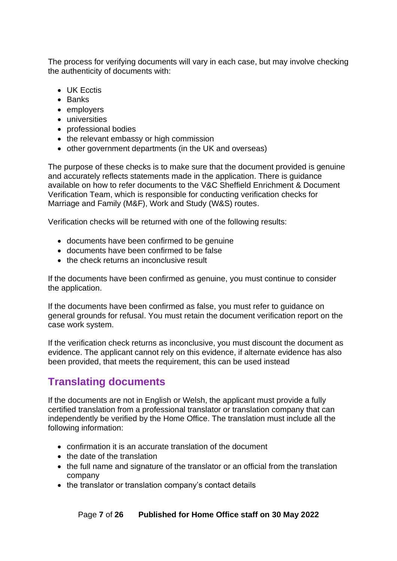The process for verifying documents will vary in each case, but may involve checking the authenticity of documents with:

- UK Fectis
- Banks
- employers
- universities
- professional bodies
- the relevant embassy or high commission
- other government departments (in the UK and overseas)

The purpose of these checks is to make sure that the document provided is genuine and accurately reflects statements made in the application. There is guidance available on how to refer documents to the V&C Sheffield Enrichment & Document Verification Team, which is responsible for conducting verification checks for Marriage and Family (M&F), Work and Study (W&S) routes.

Verification checks will be returned with one of the following results:

- documents have been confirmed to be genuine
- documents have been confirmed to be false
- the check returns an inconclusive result

If the documents have been confirmed as genuine, you must continue to consider the application.

If the documents have been confirmed as false, you must refer to guidance on general grounds for refusal. You must retain the document verification report on the case work system.

If the verification check returns as inconclusive, you must discount the document as evidence. The applicant cannot rely on this evidence, if alternate evidence has also been provided, that meets the requirement, this can be used instead

## <span id="page-6-0"></span>**Translating documents**

If the documents are not in English or Welsh, the applicant must provide a fully certified translation from a professional translator or translation company that can independently be verified by the Home Office. The translation must include all the following information:

- confirmation it is an accurate translation of the document
- the date of the translation
- the full name and signature of the translator or an official from the translation company
- the translator or translation company's contact details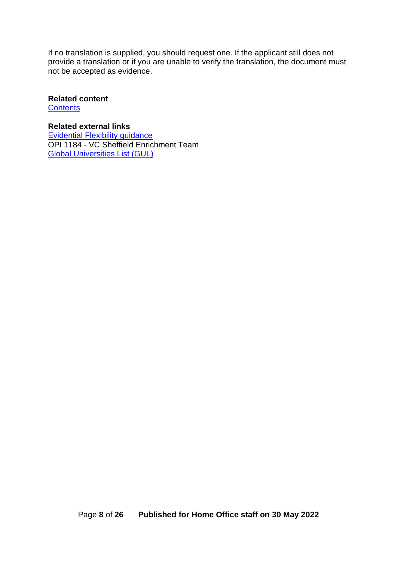If no translation is supplied, you should request one. If the applicant still does not provide a translation or if you are unable to verify the translation, the document must not be accepted as evidence.

#### **Related content**

**[Contents](#page-1-0)** 

**Related external links** [Evidential Flexibility guidance](https://www.gov.uk/government/publications/points-based-system-evidential-flexibility) OPI 1184 - VC Sheffield Enrichment Team [Global Universities List \(GUL\)](https://www.gov.uk/government/publications/high-potential-individual-visa-global-universities-list)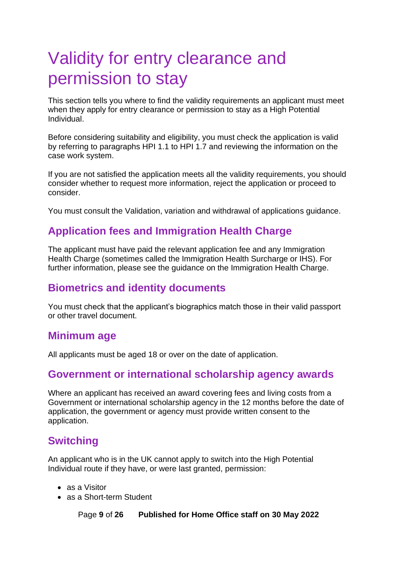## <span id="page-8-0"></span>Validity for entry clearance and permission to stay

This section tells you where to find the validity requirements an applicant must meet when they apply for entry clearance or permission to stay as a High Potential Individual.

Before considering suitability and eligibility, you must check the application is valid by referring to paragraphs HPI 1.1 to HPI 1.7 and reviewing the information on the case work system.

If you are not satisfied the application meets all the validity requirements, you should consider whether to request more information, reject the application or proceed to consider.

You must consult the Validation, variation and withdrawal of applications guidance.

## <span id="page-8-1"></span>**Application fees and Immigration Health Charge**

The applicant must have paid the relevant application fee and any Immigration Health Charge (sometimes called the Immigration Health Surcharge or IHS). For further information, please see the guidance on the Immigration Health Charge.

## <span id="page-8-2"></span>**Biometrics and identity documents**

You must check that the applicant's biographics match those in their valid passport or other travel document.

#### <span id="page-8-3"></span>**Minimum age**

All applicants must be aged 18 or over on the date of application.

## <span id="page-8-4"></span>**Government or international scholarship agency awards**

Where an applicant has received an award covering fees and living costs from a Government or international scholarship agency in the 12 months before the date of application, the government or agency must provide written consent to the application.

## <span id="page-8-5"></span>**Switching**

An applicant who is in the UK cannot apply to switch into the High Potential Individual route if they have, or were last granted, permission:

- as a Visitor
- as a Short-term Student

Page **9** of **26 Published for Home Office staff on 30 May 2022**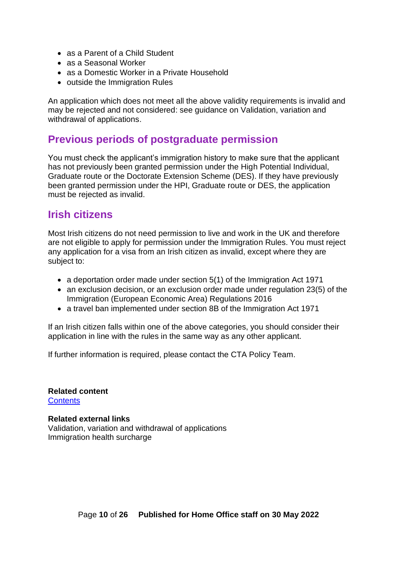- as a Parent of a Child Student
- as a Seasonal Worker
- as a Domestic Worker in a Private Household
- outside the Immigration Rules

An application which does not meet all the above validity requirements is invalid and may be rejected and not considered: see guidance on Validation, variation and withdrawal of applications.

#### <span id="page-9-0"></span>**Previous periods of postgraduate permission**

You must check the applicant's immigration history to make sure that the applicant has not previously been granted permission under the High Potential Individual, Graduate route or the Doctorate Extension Scheme (DES). If they have previously been granted permission under the HPI, Graduate route or DES, the application must be rejected as invalid.

#### <span id="page-9-1"></span>**Irish citizens**

Most Irish citizens do not need permission to live and work in the UK and therefore are not eligible to apply for permission under the Immigration Rules. You must reject any application for a visa from an Irish citizen as invalid, except where they are subject to:

- a deportation order made under section 5(1) of the Immigration Act 1971
- an exclusion decision, or an exclusion order made under regulation 23(5) of the Immigration (European Economic Area) Regulations 2016
- a travel ban implemented under section 8B of the Immigration Act 1971

If an Irish citizen falls within one of the above categories, you should consider their application in line with the rules in the same way as any other applicant.

If further information is required, please contact the CTA Policy Team.

**Related content [Contents](#page-1-0)** 

<span id="page-9-2"></span>**Related external links** Validation, variation and withdrawal of applications Immigration health surcharge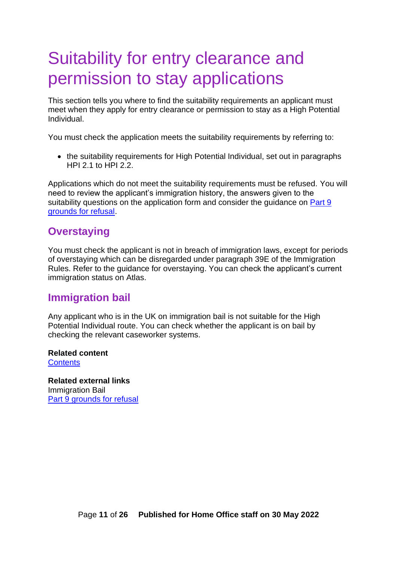## <span id="page-10-0"></span>Suitability for entry clearance and permission to stay applications

This section tells you where to find the suitability requirements an applicant must meet when they apply for entry clearance or permission to stay as a High Potential Individual.

You must check the application meets the suitability requirements by referring to:

• the suitability requirements for High Potential Individual, set out in paragraphs HPI 2.1 to HPI 2.2.

Applications which do not meet the suitability requirements must be refused. You will need to review the applicant's immigration history, the answers given to the suitability questions on the application form and consider the quidance on Part 9 [grounds for refusal.](https://www.gov.uk/guidance/immigration-rules/immigration-rules-part-9-grounds-for-refusal)

## <span id="page-10-1"></span>**Overstaying**

You must check the applicant is not in breach of immigration laws, except for periods of overstaying which can be disregarded under paragraph 39E of the Immigration Rules. Refer to the guidance for overstaying. You can check the applicant's current immigration status on Atlas.

## <span id="page-10-2"></span>**Immigration bail**

Any applicant who is in the UK on immigration bail is not suitable for the High Potential Individual route. You can check whether the applicant is on bail by checking the relevant caseworker systems.

**Related content [Contents](#page-1-0)** 

**Related external links** Immigration Bail [Part 9 grounds for refusal](https://www.gov.uk/guidance/immigration-rules/immigration-rules-part-9-grounds-for-refusal)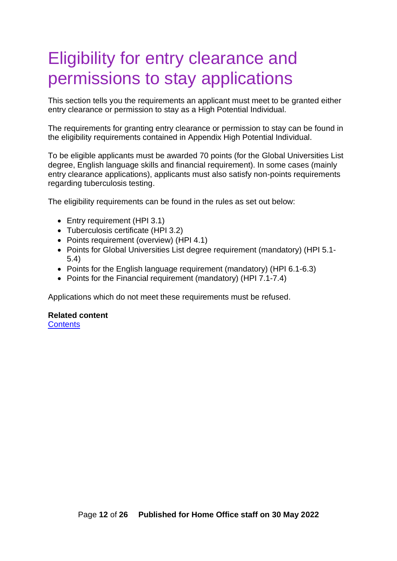## <span id="page-11-0"></span>Eligibility for entry clearance and permissions to stay applications

This section tells you the requirements an applicant must meet to be granted either entry clearance or permission to stay as a High Potential Individual.

The requirements for granting entry clearance or permission to stay can be found in the eligibility requirements contained in Appendix High Potential Individual.

To be eligible applicants must be awarded 70 points (for the Global Universities List degree, English language skills and financial requirement). In some cases (mainly entry clearance applications), applicants must also satisfy non-points requirements regarding tuberculosis testing.

The eligibility requirements can be found in the rules as set out below:

- Entry requirement (HPI 3.1)
- Tuberculosis certificate (HPI 3.2)
- Points requirement (overview) (HPI 4.1)
- Points for Global Universities List degree requirement (mandatory) (HPI 5.1- 5.4)
- Points for the English language requirement (mandatory) (HPI 6.1-6.3)
- Points for the Financial requirement (mandatory) (HPI 7.1-7.4)

Applications which do not meet these requirements must be refused.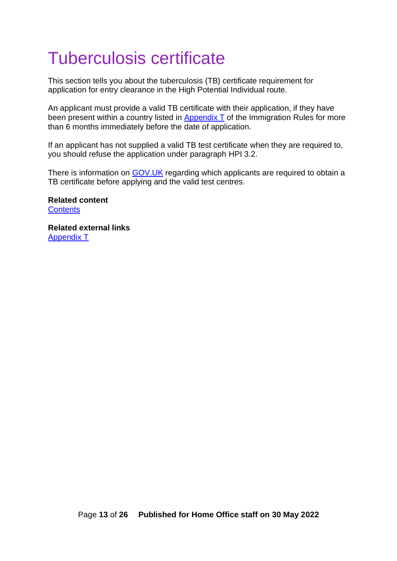## <span id="page-12-0"></span>Tuberculosis certificate

This section tells you about the tuberculosis (TB) certificate requirement for application for entry clearance in the High Potential Individual route.

An applicant must provide a valid TB certificate with their application, if they have been present within a country listed in [Appendix T](https://www.gov.uk/guidance/immigration-rules/immigration-rules-appendix-t-tuberculosis-screening) of the Immigration Rules for more than 6 months immediately before the date of application.

If an applicant has not supplied a valid TB test certificate when they are required to, you should refuse the application under paragraph HPI 3.2.

There is information on [GOV.UK](https://www.gov.uk/tb-test-visa) regarding which applicants are required to obtain a TB certificate before applying and the valid test centres.

**Related content [Contents](#page-1-0)** 

**Related external links** [Appendix T](https://www.gov.uk/guidance/immigration-rules/immigration-rules-appendix-t-tuberculosis-screening)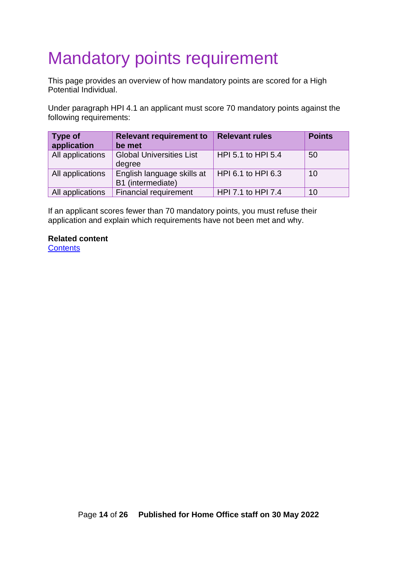# <span id="page-13-0"></span>Mandatory points requirement

This page provides an overview of how mandatory points are scored for a High Potential Individual.

Under paragraph HPI 4.1 an applicant must score 70 mandatory points against the following requirements:

| <b>Type of</b><br>application | <b>Relevant requirement to</b><br>be met        | <b>Relevant rules</b> | <b>Points</b> |
|-------------------------------|-------------------------------------------------|-----------------------|---------------|
| All applications              | <b>Global Universities List</b><br>degree       | HPI 5.1 to HPI 5.4    | 50            |
| All applications              | English language skills at<br>B1 (intermediate) | $HPI 6.1$ to HPI 6.3  | 10            |
| All applications              | <b>Financial requirement</b>                    | HPI 7.1 to HPI 7.4    | 10            |

If an applicant scores fewer than 70 mandatory points, you must refuse their application and explain which requirements have not been met and why.

#### **Related content**

**[Contents](#page-1-0)**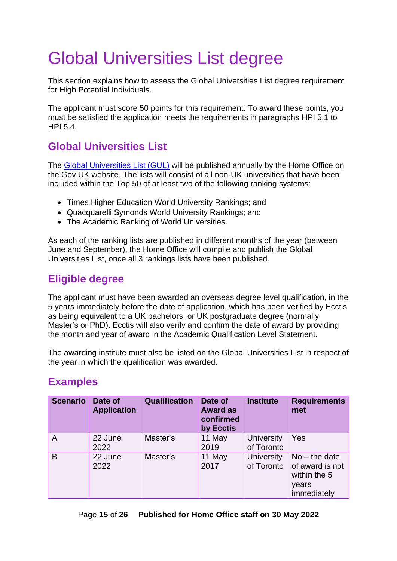# <span id="page-14-0"></span>Global Universities List degree

This section explains how to assess the Global Universities List degree requirement for High Potential Individuals.

The applicant must score 50 points for this requirement. To award these points, you must be satisfied the application meets the requirements in paragraphs HPI 5.1 to HPI 5.4.

## <span id="page-14-1"></span>**Global Universities List**

The [Global Universities List \(GUL\)](https://www.gov.uk/government/publications/high-potential-individual-visa-global-universities-list) will be published annually by the Home Office on the Gov.UK website. The lists will consist of all non-UK universities that have been included within the Top 50 of at least two of the following ranking systems:

- Times Higher Education World University Rankings; and
- Quacquarelli Symonds World University Rankings; and
- The Academic Ranking of World Universities.

As each of the ranking lists are published in different months of the year (between June and September), the Home Office will compile and publish the Global Universities List, once all 3 rankings lists have been published.

## <span id="page-14-2"></span>**Eligible degree**

The applicant must have been awarded an overseas degree level qualification, in the 5 years immediately before the date of application, which has been verified by Ecctis as being equivalent to a UK bachelors, or UK postgraduate degree (normally Master's or PhD). Ecctis will also verify and confirm the date of award by providing the month and year of award in the Academic Qualification Level Statement.

The awarding institute must also be listed on the Global Universities List in respect of the year in which the qualification was awarded.

## <span id="page-14-3"></span>**Examples**

| <b>Scenario</b> | Date of<br><b>Application</b> | <b>Qualification</b> | Date of<br><b>Award as</b><br>confirmed<br>by Ecctis | <b>Institute</b>                | <b>Requirements</b><br>met                                                 |
|-----------------|-------------------------------|----------------------|------------------------------------------------------|---------------------------------|----------------------------------------------------------------------------|
| A               | 22 June<br>2022               | Master's             | 11 May<br>2019                                       | <b>University</b><br>of Toronto | Yes                                                                        |
| B               | 22 June<br>2022               | Master's             | 11 May<br>2017                                       | <b>University</b><br>of Toronto | $No$ – the date<br>of award is not<br>within the 5<br>years<br>immediately |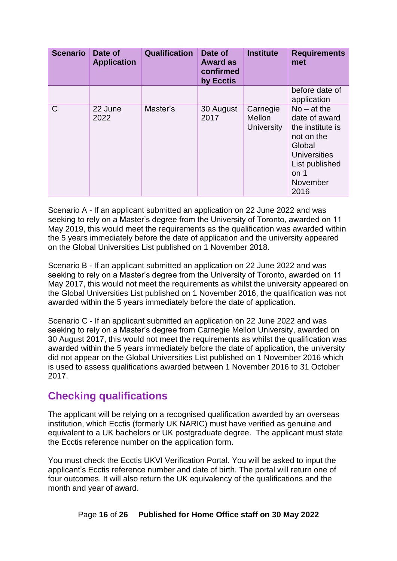| <b>Scenario</b> | Date of<br><b>Application</b> | <b>Qualification</b> | Date of<br><b>Award as</b><br>confirmed<br>by Ecctis | <b>Institute</b>                               | <b>Requirements</b><br>met                                                                                                                      |
|-----------------|-------------------------------|----------------------|------------------------------------------------------|------------------------------------------------|-------------------------------------------------------------------------------------------------------------------------------------------------|
|                 |                               |                      |                                                      |                                                | before date of<br>application                                                                                                                   |
| $\mathsf{C}$    | 22 June<br>2022               | Master's             | 30 August<br>2017                                    | Carnegie<br><b>Mellon</b><br><b>University</b> | $No - at the$<br>date of award<br>the institute is<br>not on the<br>Global<br><b>Universities</b><br>List published<br>on 1<br>November<br>2016 |

Scenario A - If an applicant submitted an application on 22 June 2022 and was seeking to rely on a Master's degree from the University of Toronto, awarded on 11 May 2019, this would meet the requirements as the qualification was awarded within the 5 years immediately before the date of application and the university appeared on the Global Universities List published on 1 November 2018.

Scenario B - If an applicant submitted an application on 22 June 2022 and was seeking to rely on a Master's degree from the University of Toronto, awarded on 11 May 2017, this would not meet the requirements as whilst the university appeared on the Global Universities List published on 1 November 2016, the qualification was not awarded within the 5 years immediately before the date of application.

Scenario C - If an applicant submitted an application on 22 June 2022 and was seeking to rely on a Master's degree from Carnegie Mellon University, awarded on 30 August 2017, this would not meet the requirements as whilst the qualification was awarded within the 5 years immediately before the date of application, the university did not appear on the Global Universities List published on 1 November 2016 which is used to assess qualifications awarded between 1 November 2016 to 31 October 2017.

## <span id="page-15-0"></span>**Checking qualifications**

The applicant will be relying on a recognised qualification awarded by an overseas institution, which Ecctis (formerly UK NARIC) must have verified as genuine and equivalent to a UK bachelors or UK postgraduate degree. The applicant must state the Ecctis reference number on the application form.

You must check the Ecctis UKVI Verification Portal. You will be asked to input the applicant's Ecctis reference number and date of birth. The portal will return one of four outcomes. It will also return the UK equivalency of the qualifications and the month and year of award.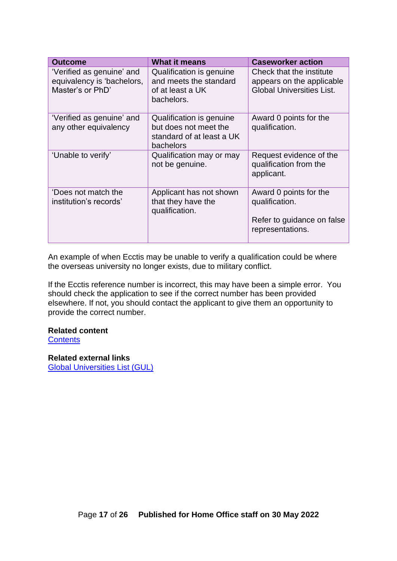| <b>Outcome</b>                                                              | <b>What it means</b>                                                                        | <b>Caseworker action</b>                                                                   |
|-----------------------------------------------------------------------------|---------------------------------------------------------------------------------------------|--------------------------------------------------------------------------------------------|
| 'Verified as genuine' and<br>equivalency is 'bachelors,<br>Master's or PhD' | Qualification is genuine<br>and meets the standard<br>of at least a UK<br>bachelors.        | Check that the institute<br>appears on the applicable<br><b>Global Universities List.</b>  |
| 'Verified as genuine' and<br>any other equivalency                          | Qualification is genuine<br>but does not meet the<br>standard of at least a UK<br>bachelors | Award 0 points for the<br>qualification.                                                   |
| 'Unable to verify'                                                          | Qualification may or may<br>not be genuine.                                                 | Request evidence of the<br>qualification from the<br>applicant.                            |
| 'Does not match the<br>institution's records'                               | Applicant has not shown<br>that they have the<br>qualification.                             | Award 0 points for the<br>qualification.<br>Refer to guidance on false<br>representations. |

An example of when Ecctis may be unable to verify a qualification could be where the overseas university no longer exists, due to military conflict.

If the Ecctis reference number is incorrect, this may have been a simple error. You should check the application to see if the correct number has been provided elsewhere. If not, you should contact the applicant to give them an opportunity to provide the correct number.

#### **Related content**

**[Contents](#page-1-0)** 

**Related external links** [Global Universities List \(GUL\)](https://www.gov.uk/government/publications/high-potential-individual-visa-global-universities-list)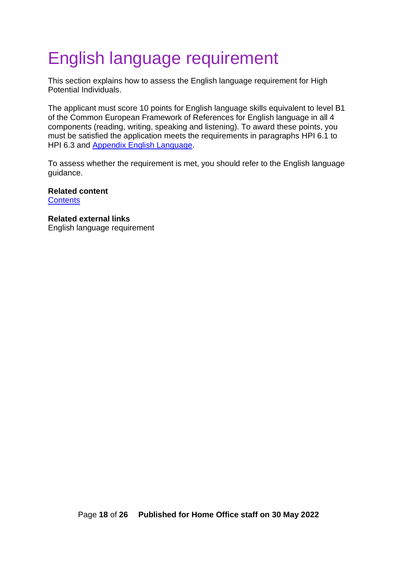## <span id="page-17-0"></span>English language requirement

This section explains how to assess the English language requirement for High Potential Individuals.

The applicant must score 10 points for English language skills equivalent to level B1 of the Common European Framework of References for English language in all 4 components (reading, writing, speaking and listening). To award these points, you must be satisfied the application meets the requirements in paragraphs HPI 6.1 to HPI 6.3 and [Appendix English Language.](https://www.gov.uk/guidance/immigration-rules/immigration-rules-appendix-english-language)

To assess whether the requirement is met, you should refer to the English language guidance.

**Related content [Contents](#page-1-0)** 

**Related external links** English language requirement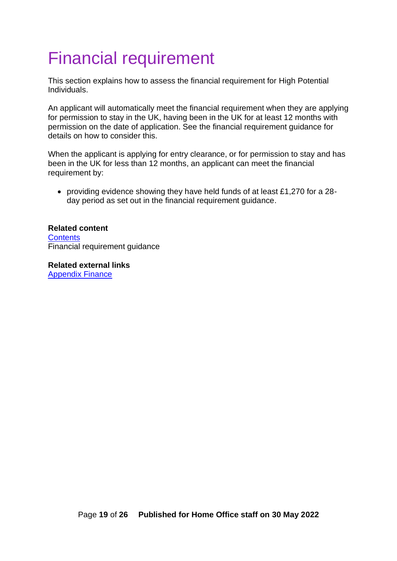## <span id="page-18-0"></span>Financial requirement

This section explains how to assess the financial requirement for High Potential Individuals.

An applicant will automatically meet the financial requirement when they are applying for permission to stay in the UK, having been in the UK for at least 12 months with permission on the date of application. See the financial requirement guidance for details on how to consider this.

When the applicant is applying for entry clearance, or for permission to stay and has been in the UK for less than 12 months, an applicant can meet the financial requirement by:

• providing evidence showing they have held funds of at least £1,270 for a 28 day period as set out in the financial requirement guidance.

#### **Related content [Contents](#page-1-0)** Financial requirement guidance

**Related external links** [Appendix Finance](https://www.gov.uk/guidance/immigration-rules/immigration-rules-appendix-finance)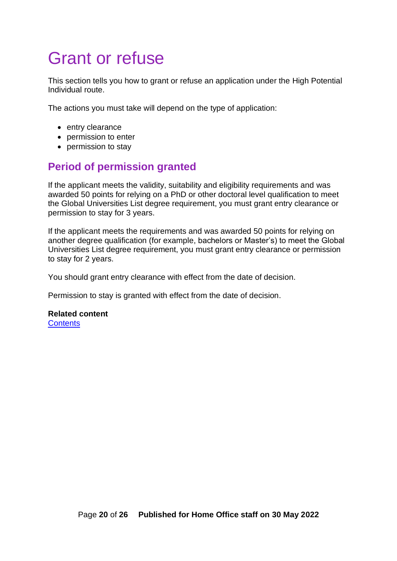## <span id="page-19-0"></span>Grant or refuse

This section tells you how to grant or refuse an application under the High Potential Individual route.

The actions you must take will depend on the type of application:

- entry clearance
- permission to enter
- permission to stay

## <span id="page-19-1"></span>**Period of permission granted**

If the applicant meets the validity, suitability and eligibility requirements and was awarded 50 points for relying on a PhD or other doctoral level qualification to meet the Global Universities List degree requirement, you must grant entry clearance or permission to stay for 3 years.

If the applicant meets the requirements and was awarded 50 points for relying on another degree qualification (for example, bachelors or Master's) to meet the Global Universities List degree requirement, you must grant entry clearance or permission to stay for 2 years.

You should grant entry clearance with effect from the date of decision.

Permission to stay is granted with effect from the date of decision.

## **Related content**

**[Contents](#page-1-0)**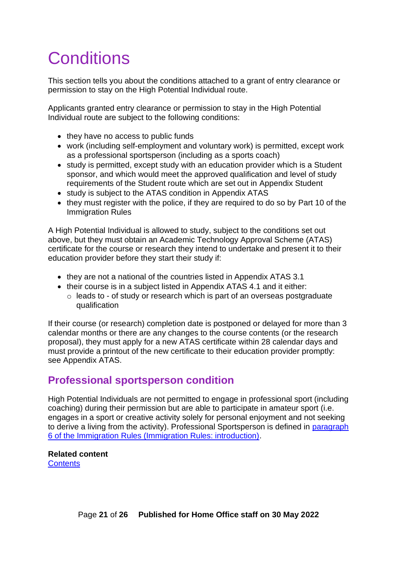# <span id="page-20-0"></span>**Conditions**

This section tells you about the conditions attached to a grant of entry clearance or permission to stay on the High Potential Individual route.

Applicants granted entry clearance or permission to stay in the High Potential Individual route are subject to the following conditions:

- they have no access to public funds
- work (including self-employment and voluntary work) is permitted, except work as a professional sportsperson (including as a sports coach)
- study is permitted, except study with an education provider which is a Student sponsor, and which would meet the approved qualification and level of study requirements of the Student route which are set out in [Appendix Student](https://www.gov.uk/guidance/immigration-rules/appendix-student)
- study is subject to the [ATAS](http://www.gov.uk/guidance/academic-technology-approval-scheme) condition in [Appendix](https://www.gov.uk/guidance/immigration-rules/immigration-rules-appendix-atas-academic-technology-approval-scheme-atas) ATAS
- they must register with the police, if they are required to do so by Part 10 of the [Immigration Rules](https://www.gov.uk/guidance/immigration-rules/immigration-rules-part-10-registering-with-the-police)

A High Potential Individual is allowed to study, subject to the conditions set out above, but they must obtain an Academic Technology Approval Scheme (ATAS) certificate for the course or research they intend to undertake and present it to their education provider before they start their study if:

- they are not a national of the countries listed in Appendix ATAS 3.1
- their course is in a subject listed in Appendix ATAS 4.1 and it either:
	- o leads to of study or research which is part of an overseas postgraduate qualification

If their course (or research) completion date is postponed or delayed for more than 3 calendar months or there are any changes to the course contents (or the research proposal), they must apply for a new ATAS certificate within 28 calendar days and must provide a printout of the new certificate to their education provider promptly: see Appendix ATAS.

## <span id="page-20-1"></span>**Professional sportsperson condition**

High Potential Individuals are not permitted to engage in professional sport (including coaching) during their permission but are able to participate in amateur sport (i.e. engages in a sport or creative activity solely for personal enjoyment and not seeking to derive a living from the activity). Professional Sportsperson is defined in paragraph [6 of the Immigration Rules \(Immigration Rules: introduction\).](https://www.gov.uk/guidance/immigration-rules/immigration-rules-introduction)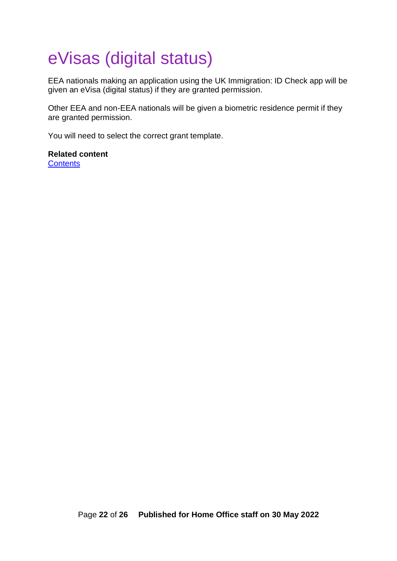# <span id="page-21-0"></span>eVisas (digital status)

EEA nationals making an application using the UK Immigration: ID Check app will be given an eVisa (digital status) if they are granted permission.

Other EEA and non-EEA nationals will be given a biometric residence permit if they are granted permission.

You will need to select the correct grant template.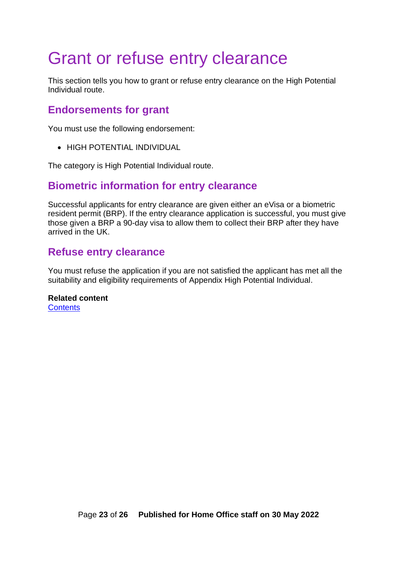## <span id="page-22-0"></span>Grant or refuse entry clearance

This section tells you how to grant or refuse entry clearance on the High Potential Individual route.

#### <span id="page-22-1"></span>**Endorsements for grant**

You must use the following endorsement:

• HIGH POTENTIAL INDIVIDUAL

The category is High Potential Individual route.

#### <span id="page-22-2"></span>**Biometric information for entry clearance**

Successful applicants for entry clearance are given either an eVisa or a biometric resident permit (BRP). If the entry clearance application is successful, you must give those given a BRP a 90-day visa to allow them to collect their BRP after they have arrived in the UK.

#### <span id="page-22-3"></span>**Refuse entry clearance**

You must refuse the application if you are not satisfied the applicant has met all the suitability and eligibility requirements of Appendix High Potential Individual.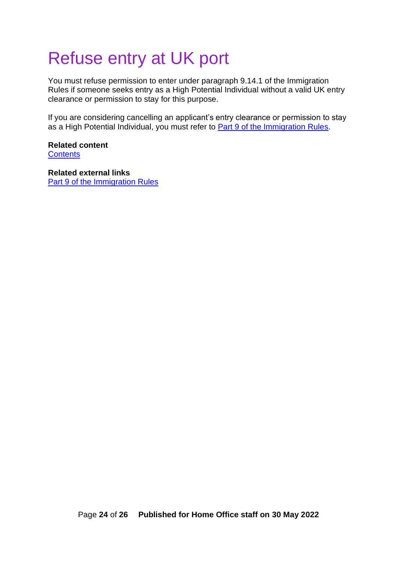## <span id="page-23-0"></span>Refuse entry at UK port

You must refuse permission to enter under paragraph 9.14.1 of the Immigration Rules if someone seeks entry as a High Potential Individual without a valid UK entry clearance or permission to stay for this purpose.

If you are considering cancelling an applicant's entry clearance or permission to stay as a High Potential Individual, you must refer to [Part 9 of the Immigration Rules.](https://www.gov.uk/guidance/immigration-rules/immigration-rules-part-9-grounds-for-refusal)

**Related content [Contents](#page-1-0)** 

**Related external links** [Part 9 of the Immigration Rules](https://www.gov.uk/guidance/immigration-rules/immigration-rules-part-9-grounds-for-refusal)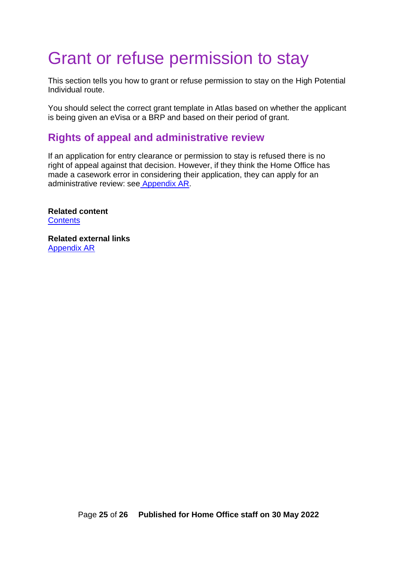## <span id="page-24-0"></span>Grant or refuse permission to stay

This section tells you how to grant or refuse permission to stay on the High Potential Individual route.

You should select the correct grant template in Atlas based on whether the applicant is being given an eVisa or a BRP and based on their period of grant.

## <span id="page-24-1"></span>**Rights of appeal and administrative review**

If an application for entry clearance or permission to stay is refused there is no right of appeal against that decision. However, if they think the Home Office has made a casework error in considering their application, they can apply for an administrative review: see [Appendix AR.](https://www.gov.uk/guidance/immigration-rules/immigration-rules-appendix-ar-administrative-review)

**Related content [Contents](#page-1-0)** 

**Related external links** [Appendix AR](https://www.gov.uk/guidance/immigration-rules/immigration-rules-appendix-ar-administrative-review)